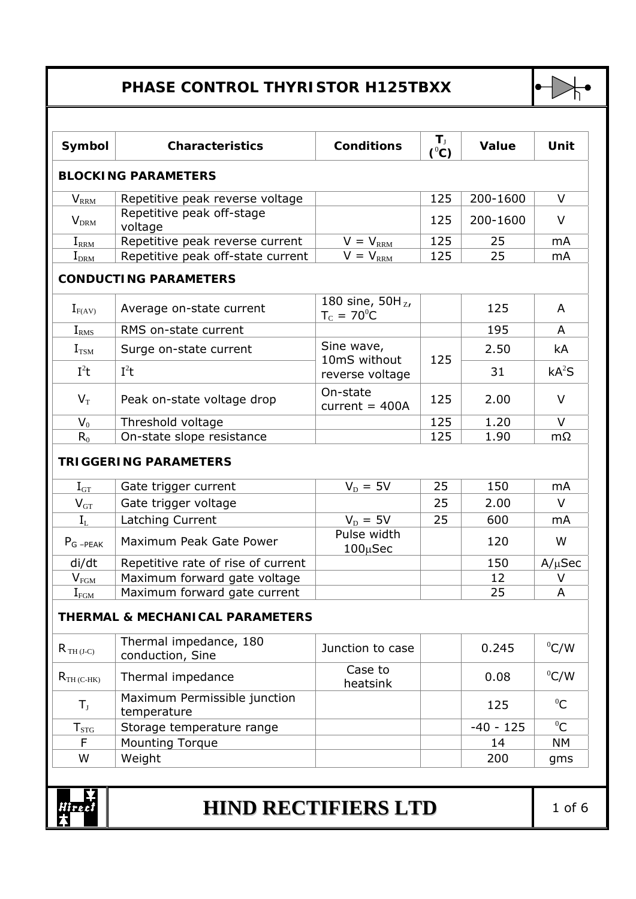## **PHASE CONTROL THYRISTOR H125TBXX**



| Symbol                      | <b>Characteristics</b>                               | <b>Conditions</b>                            | $T_{\rm J}$<br>$(^0C)$ | Value       | Unit              |
|-----------------------------|------------------------------------------------------|----------------------------------------------|------------------------|-------------|-------------------|
|                             | <b>BLOCKING PARAMETERS</b>                           |                                              |                        |             |                   |
| $V_{\rm RRM}$               | Repetitive peak reverse voltage                      |                                              | 125                    | 200-1600    | V                 |
| $V_{\text{DRM}}$            | Repetitive peak off-stage<br>voltage                 |                                              | 125                    | 200-1600    | V                 |
| $I_{\rm RRM}$               | Repetitive peak reverse current                      | $V = V_{\text{RRM}}$                         | 125                    | 25          | mA                |
| $I_{\rm{DRM}}$              | Repetitive peak off-state current                    | $V = V_{\text{RRM}}$                         | 125                    | 25          | mA                |
|                             | <b>CONDUCTING PARAMETERS</b>                         |                                              |                        |             |                   |
| $I_{F(AV)}$                 | Average on-state current                             | 180 sine, $50H_{Z}$ ,<br>$T_c = 70^{\circ}C$ |                        | 125         | A                 |
| I <sub>RMS</sub>            | RMS on-state current                                 |                                              |                        | 195         | A                 |
| $I_{TSM}$                   | Surge on-state current                               | Sine wave,<br>10mS without                   | 125                    | 2.50        | kA                |
| $I^2t$                      | $I^2t$                                               | reverse voltage                              |                        | 31          | kA <sup>2</sup> S |
| $V_T$                       | Peak on-state voltage drop                           | On-state<br>current = $400A$                 | 125                    | 2.00        | $\vee$            |
| $V_0$                       | Threshold voltage                                    |                                              | 125                    | 1.20        | $\vee$            |
| $R_0$                       | On-state slope resistance                            |                                              | 125                    | 1.90        | $m\Omega$         |
| $\rm I_{GT}$                | <b>TRIGGERING PARAMETERS</b><br>Gate trigger current | $V_{\rm D} = 5V$                             | 25                     | 150         | mA                |
| $V_{GT}$                    | Gate trigger voltage                                 |                                              | 25                     | 2.00        | $\vee$            |
| $I_L$                       | Latching Current                                     | $V_{\text{D}} = 5V$                          | 25                     | 600         | mA                |
| $P_G$ <sub>-PEAK</sub>      | Maximum Peak Gate Power                              | Pulse width<br>$100 \mu$ Sec                 |                        | 120         | W                 |
| di/dt                       | Repetitive rate of rise of current                   |                                              |                        | 150         | $A/\mu$ Sec       |
| $\mathsf{V}_{\mathrm{FGM}}$ | Maximum forward gate voltage                         |                                              |                        | 12          | ۷                 |
| $I_{FG\underline{M}}$       | Maximum forward gate current                         |                                              |                        | 25          | A                 |
|                             | <b>THERMAL &amp; MECHANICAL PARAMETERS</b>           |                                              |                        |             |                   |
| $R_{TH (J-C)}$              | Thermal impedance, 180<br>conduction, Sine           | Junction to case                             |                        | 0.245       | $^0$ C/W          |
| $R_{TH(C-HK)}$              | Thermal impedance                                    | Case to<br>heatsink                          |                        | 0.08        | $^0$ C/W          |
| $T_{\rm J}$                 | Maximum Permissible junction<br>temperature          |                                              |                        | 125         | ${}^{0}C$         |
| $T_{STG}$                   | Storage temperature range                            |                                              |                        | $-40 - 125$ | ${}^{0}C$         |
| F                           | <b>Mounting Torque</b>                               |                                              |                        | 14          | <b>NM</b>         |
| W                           | Weight                                               |                                              |                        | 200         | gms               |
|                             |                                                      |                                              |                        |             |                   |
| re c I                      | <b>HIND RECTIFIERS LTD</b>                           |                                              |                        |             | $1$ of $6$        |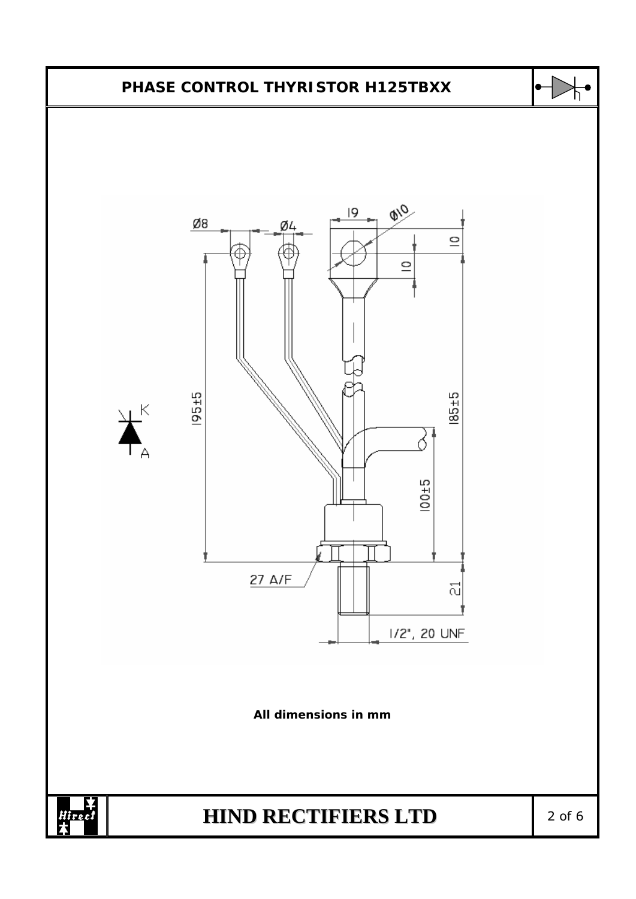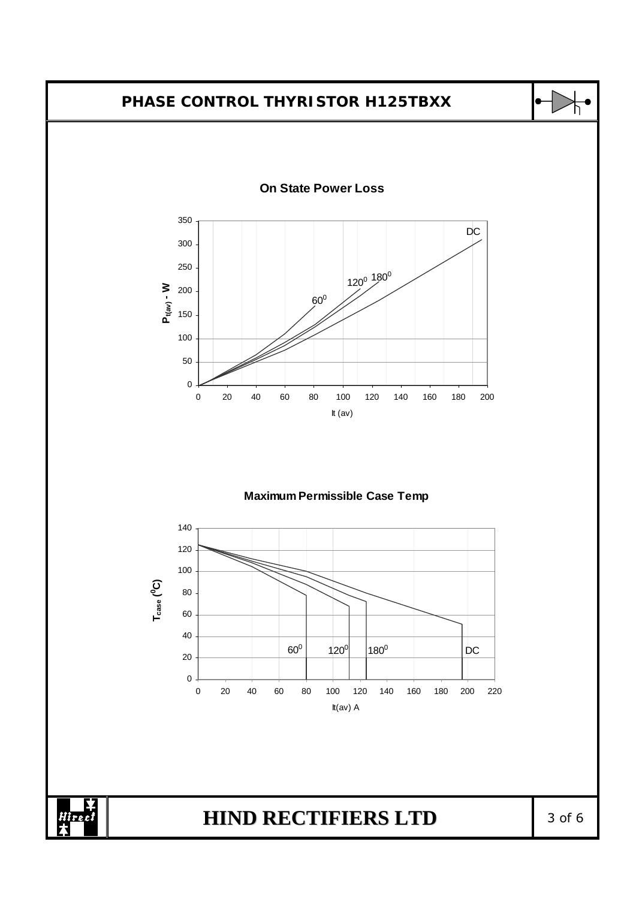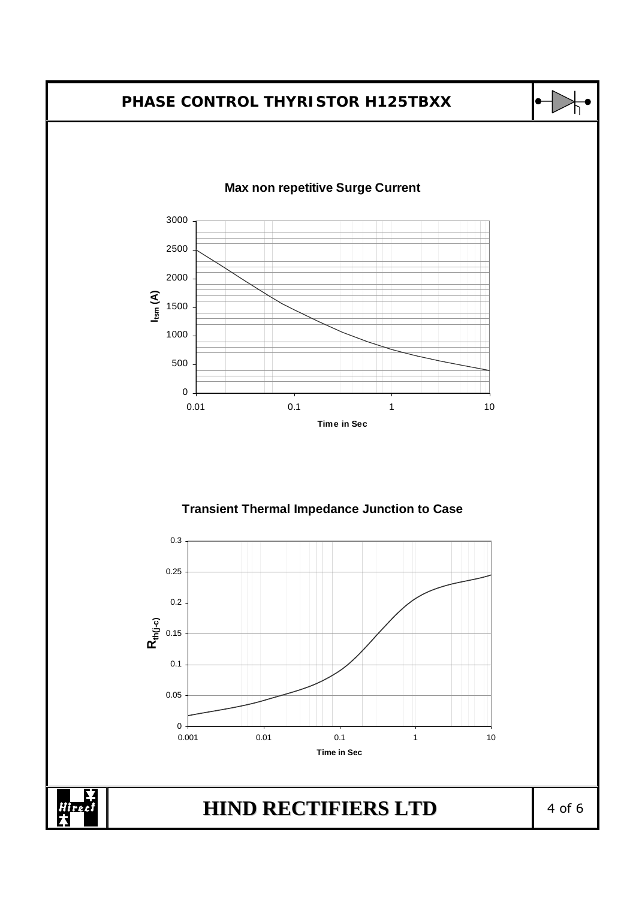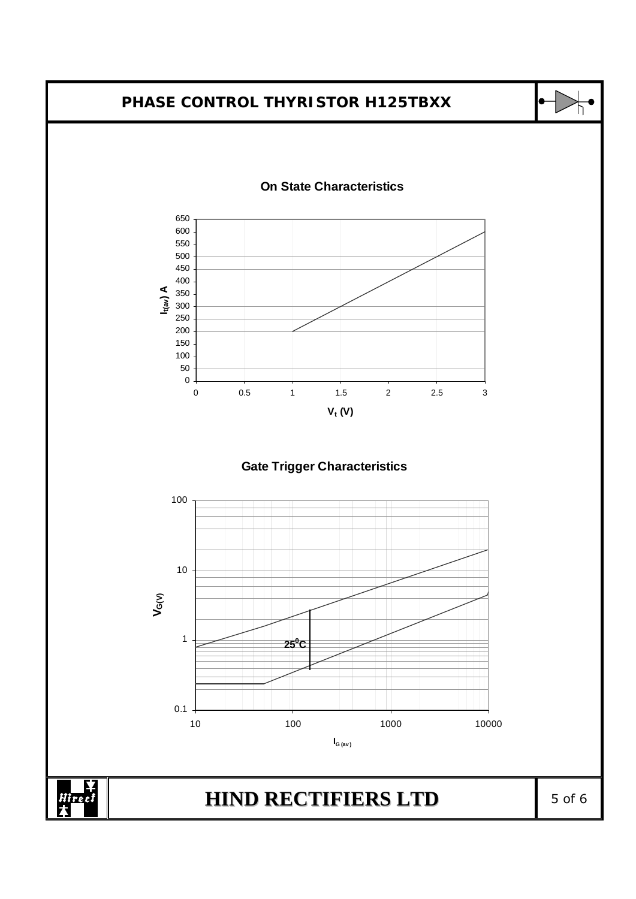